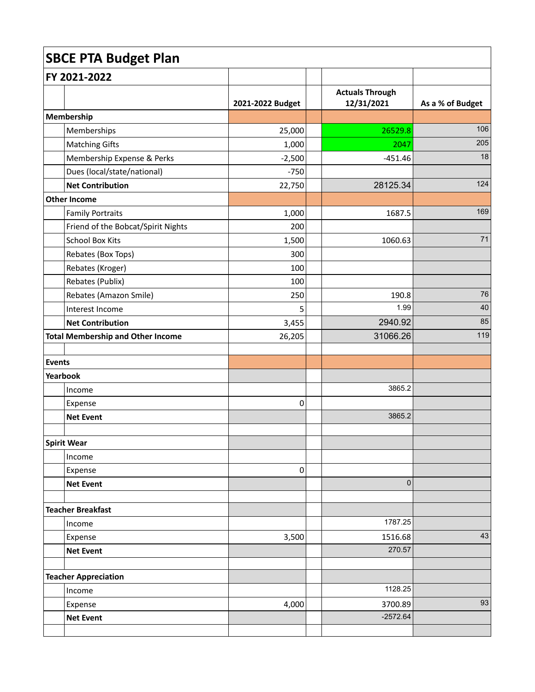| <b>SBCE PTA Budget Plan</b> |                                          |                  |  |                                      |                  |
|-----------------------------|------------------------------------------|------------------|--|--------------------------------------|------------------|
| FY 2021-2022                |                                          |                  |  |                                      |                  |
|                             |                                          | 2021-2022 Budget |  | <b>Actuals Through</b><br>12/31/2021 | As a % of Budget |
|                             | Membership                               |                  |  |                                      |                  |
|                             | Memberships                              | 25,000           |  | 26529.8                              | 106              |
|                             | <b>Matching Gifts</b>                    | 1,000            |  | 2047                                 | 205              |
|                             | Membership Expense & Perks               | $-2,500$         |  | $-451.46$                            | 18               |
|                             | Dues (local/state/national)              | $-750$           |  |                                      |                  |
|                             | <b>Net Contribution</b>                  | 22,750           |  | 28125.34                             | 124              |
|                             | <b>Other Income</b>                      |                  |  |                                      |                  |
|                             | <b>Family Portraits</b>                  | 1,000            |  | 1687.5                               | 169              |
|                             | Friend of the Bobcat/Spirit Nights       | 200              |  |                                      |                  |
|                             | <b>School Box Kits</b>                   | 1,500            |  | 1060.63                              | 71               |
|                             | Rebates (Box Tops)                       | 300              |  |                                      |                  |
|                             | Rebates (Kroger)                         | 100              |  |                                      |                  |
|                             | Rebates (Publix)                         | 100              |  |                                      |                  |
|                             | Rebates (Amazon Smile)                   | 250              |  | 190.8                                | 76               |
|                             | Interest Income                          | 5                |  | 1.99                                 | 40               |
|                             | <b>Net Contribution</b>                  | 3,455            |  | 2940.92                              | 85               |
|                             | <b>Total Membership and Other Income</b> | 26,205           |  | 31066.26                             | 119              |
|                             |                                          |                  |  |                                      |                  |
| Events<br>Yearbook          |                                          |                  |  |                                      |                  |
|                             | Income                                   |                  |  | 3865.2                               |                  |
|                             | Expense                                  | 0                |  |                                      |                  |
|                             | <b>Net Event</b>                         |                  |  | 3865.2                               |                  |
|                             |                                          |                  |  |                                      |                  |
|                             | Spirit Wear                              |                  |  |                                      |                  |
|                             | Income                                   |                  |  |                                      |                  |
|                             | Expense                                  | $\pmb{0}$        |  |                                      |                  |
|                             | <b>Net Event</b>                         |                  |  | $\pmb{0}$                            |                  |
|                             |                                          |                  |  |                                      |                  |
|                             | <b>Teacher Breakfast</b>                 |                  |  |                                      |                  |
|                             | Income                                   |                  |  | 1787.25                              |                  |
|                             | Expense                                  | 3,500            |  | 1516.68                              | 43               |
|                             | <b>Net Event</b>                         |                  |  | 270.57                               |                  |
|                             | <b>Teacher Appreciation</b>              |                  |  |                                      |                  |
|                             | Income                                   |                  |  | 1128.25                              |                  |
|                             | Expense                                  | 4,000            |  | 3700.89                              | 93               |
|                             | <b>Net Event</b>                         |                  |  | $-2572.64$                           |                  |
|                             |                                          |                  |  |                                      |                  |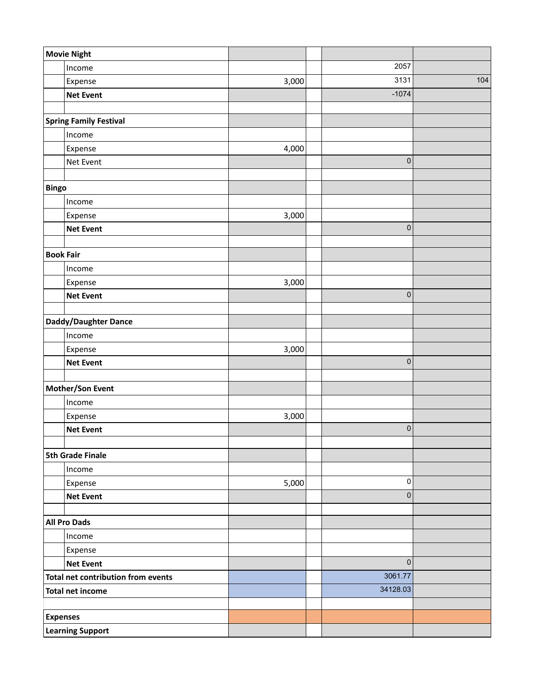| <b>Movie Night</b>                 |                               |       |             |     |
|------------------------------------|-------------------------------|-------|-------------|-----|
|                                    | Income                        |       | 2057        |     |
|                                    | Expense                       | 3,000 | 3131        | 104 |
|                                    | <b>Net Event</b>              |       | $-1074$     |     |
|                                    |                               |       |             |     |
|                                    | <b>Spring Family Festival</b> |       |             |     |
|                                    | Income                        |       |             |     |
|                                    | Expense                       | 4,000 |             |     |
|                                    | Net Event                     |       | $\pmb{0}$   |     |
|                                    |                               |       |             |     |
| <b>Bingo</b>                       |                               |       |             |     |
|                                    | Income                        |       |             |     |
|                                    | Expense                       | 3,000 |             |     |
|                                    | <b>Net Event</b>              |       | $\pmb{0}$   |     |
| <b>Book Fair</b>                   |                               |       |             |     |
|                                    | Income                        |       |             |     |
|                                    | Expense                       | 3,000 |             |     |
|                                    | <b>Net Event</b>              |       | $\pmb{0}$   |     |
|                                    |                               |       |             |     |
| Daddy/Daughter Dance               |                               |       |             |     |
|                                    | Income                        |       |             |     |
|                                    | Expense                       | 3,000 |             |     |
|                                    | <b>Net Event</b>              |       | $\pmb{0}$   |     |
|                                    |                               |       |             |     |
|                                    | Mother/Son Event              |       |             |     |
|                                    | Income                        |       |             |     |
|                                    | Expense                       | 3,000 |             |     |
|                                    | <b>Net Event</b>              |       | $\pmb{0}$   |     |
| <b>5th Grade Finale</b>            |                               |       |             |     |
|                                    | Income                        |       |             |     |
|                                    | Expense                       | 5,000 | 0           |     |
|                                    | <b>Net Event</b>              |       | $\pmb{0}$   |     |
|                                    |                               |       |             |     |
| <b>All Pro Dads</b>                |                               |       |             |     |
|                                    | Income                        |       |             |     |
|                                    | Expense                       |       |             |     |
|                                    | <b>Net Event</b>              |       | $\mathbf 0$ |     |
| Total net contribution from events |                               |       | 3061.77     |     |
| <b>Total net income</b>            |                               |       | 34128.03    |     |
|                                    |                               |       |             |     |
| <b>Expenses</b>                    |                               |       |             |     |
| <b>Learning Support</b>            |                               |       |             |     |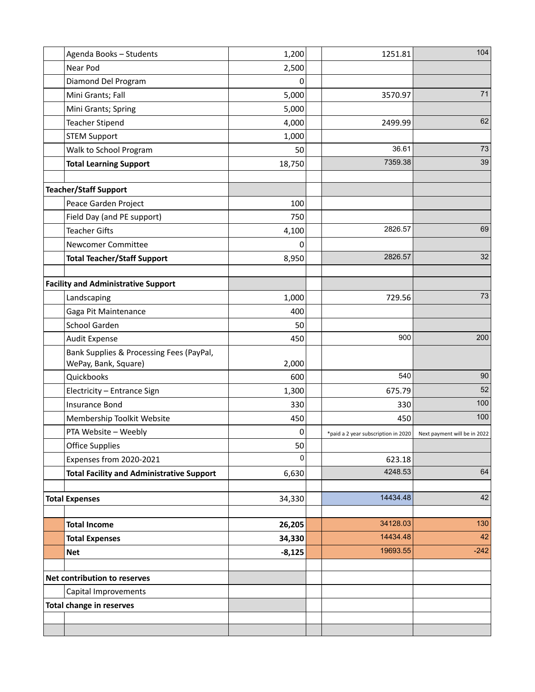|                              | Agenda Books - Students                                          | 1,200    | 1251.81                             | 104                          |
|------------------------------|------------------------------------------------------------------|----------|-------------------------------------|------------------------------|
|                              | Near Pod                                                         | 2,500    |                                     |                              |
|                              | Diamond Del Program                                              | 0        |                                     |                              |
|                              | Mini Grants; Fall                                                | 5,000    | 3570.97                             | 71                           |
|                              | Mini Grants; Spring                                              | 5,000    |                                     |                              |
|                              | <b>Teacher Stipend</b>                                           | 4,000    | 2499.99                             | 62                           |
|                              | <b>STEM Support</b>                                              | 1,000    |                                     |                              |
|                              | Walk to School Program                                           | 50       | 36.61                               | $73\,$                       |
|                              | <b>Total Learning Support</b>                                    | 18,750   | 7359.38                             | 39                           |
|                              |                                                                  |          |                                     |                              |
|                              | <b>Teacher/Staff Support</b>                                     |          |                                     |                              |
|                              | Peace Garden Project                                             | 100      |                                     |                              |
|                              | Field Day (and PE support)                                       | 750      |                                     |                              |
|                              | <b>Teacher Gifts</b>                                             | 4,100    | 2826.57                             | 69                           |
|                              | Newcomer Committee                                               | 0        |                                     |                              |
|                              | <b>Total Teacher/Staff Support</b>                               | 8,950    | 2826.57                             | 32                           |
|                              |                                                                  |          |                                     |                              |
|                              | <b>Facility and Administrative Support</b>                       |          |                                     |                              |
|                              | Landscaping                                                      | 1,000    | 729.56                              | 73                           |
|                              | Gaga Pit Maintenance                                             | 400      |                                     |                              |
|                              | School Garden                                                    | 50       |                                     |                              |
|                              | Audit Expense                                                    | 450      | 900                                 | 200                          |
|                              | Bank Supplies & Processing Fees (PayPal,<br>WePay, Bank, Square) | 2,000    |                                     |                              |
|                              | Quickbooks                                                       | 600      | 540                                 | 90                           |
|                              | Electricity - Entrance Sign                                      | 1,300    | 675.79                              | 52                           |
|                              | <b>Insurance Bond</b>                                            | 330      | 330                                 | 100                          |
|                              | Membership Toolkit Website                                       | 450      | 450                                 | 100                          |
|                              | PTA Website - Weebly                                             | 0        | *paid a 2 year subscription in 2020 | Next payment will be in 2022 |
|                              | <b>Office Supplies</b>                                           | 50       |                                     |                              |
|                              | Expenses from 2020-2021                                          | 0        | 623.18                              |                              |
|                              | <b>Total Facility and Administrative Support</b>                 | 6,630    | 4248.53                             | 64                           |
|                              |                                                                  |          |                                     |                              |
|                              | <b>Total Expenses</b>                                            | 34,330   | 14434.48                            | 42                           |
|                              | <b>Total Income</b>                                              | 26,205   | 34128.03                            | 130                          |
|                              | <b>Total Expenses</b>                                            | 34,330   | 14434.48                            | 42                           |
|                              |                                                                  |          | 19693.55                            | $-242$                       |
|                              | <b>Net</b>                                                       | $-8,125$ |                                     |                              |
| Net contribution to reserves |                                                                  |          |                                     |                              |
|                              | Capital Improvements                                             |          |                                     |                              |
|                              | <b>Total change in reserves</b>                                  |          |                                     |                              |
|                              |                                                                  |          |                                     |                              |
|                              |                                                                  |          |                                     |                              |